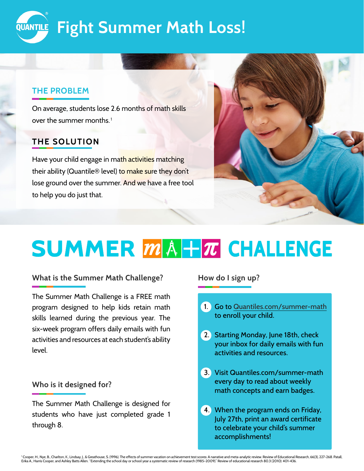

## **THE PROBLEM**

over the summer months. $^{\rm 1}$ On average, students lose 2.6 months of math skills

# **THE SOLUTION**

Have your child engage in math activities matching their ability (Quantile® level) to make sure they don't lose ground over the summer. And we have a free tool to help you do just that.



# **SUMMER MA+T CHALLENGE**

#### **What is the Summer Math Challenge?**

The Summer Math Challenge is a FREE math program designed to help kids retain math skills learned during the previous year. The six-week program offers daily emails with fun activities and resources at each student's ability level.

## **Who is it designed for?**

The Summer Math Challenge is designed for students who have just completed grade 1 through 8.

#### **How do I sign up?**

- 1. Go to [Quantiles.com/summer-math](http://Quantiles.com/summer-math) to enroll your child.
- 2. Starting Monday, June 18th, check your inbox for daily emails with fun activities and resources.
- 3. Visit Quantiles.com/summer-math every day to read about weekly math concepts and earn badges.
- 4. When the program ends on Friday, July 27th, print an award certificate to celebrate your child's summer accomplishments!